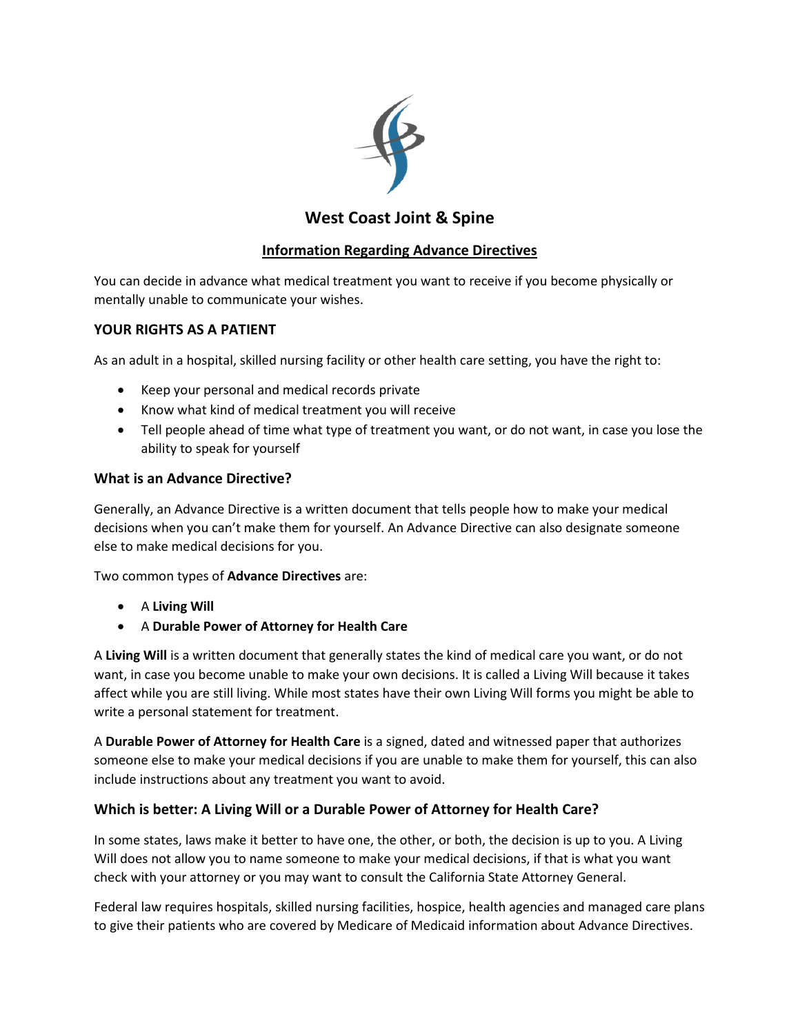

# **West Coast Joint & Spine**

## **Information Regarding Advance Directives**

You can decide in advance what medical treatment you want to receive if you become physically or mentally unable to communicate your wishes.

## **YOUR RIGHTS AS A PATIENT**

As an adult in a hospital, skilled nursing facility or other health care setting, you have the right to:

- Keep your personal and medical records private
- Know what kind of medical treatment you will receive
- Tell people ahead of time what type of treatment you want, or do not want, in case you lose the ability to speak for yourself

### **What is an Advance Directive?**

Generally, an Advance Directive is a written document that tells people how to make your medical decisions when you can't make them for yourself. An Advance Directive can also designate someone else to make medical decisions for you.

Two common types of **Advance Directives** are:

- A **Living Will**
- A **Durable Power of Attorney for Health Care**

A **Living Will** is a written document that generally states the kind of medical care you want, or do not want, in case you become unable to make your own decisions. It is called a Living Will because it takes affect while you are still living. While most states have their own Living Will forms you might be able to write a personal statement for treatment.

A **Durable Power of Attorney for Health Care** is a signed, dated and witnessed paper that authorizes someone else to make your medical decisions if you are unable to make them for yourself, this can also include instructions about any treatment you want to avoid.

### **Which is better: A Living Will or a Durable Power of Attorney for Health Care?**

In some states, laws make it better to have one, the other, or both, the decision is up to you. A Living Will does not allow you to name someone to make your medical decisions, if that is what you want check with your attorney or you may want to consult the California State Attorney General.

Federal law requires hospitals, skilled nursing facilities, hospice, health agencies and managed care plans to give their patients who are covered by Medicare of Medicaid information about Advance Directives.